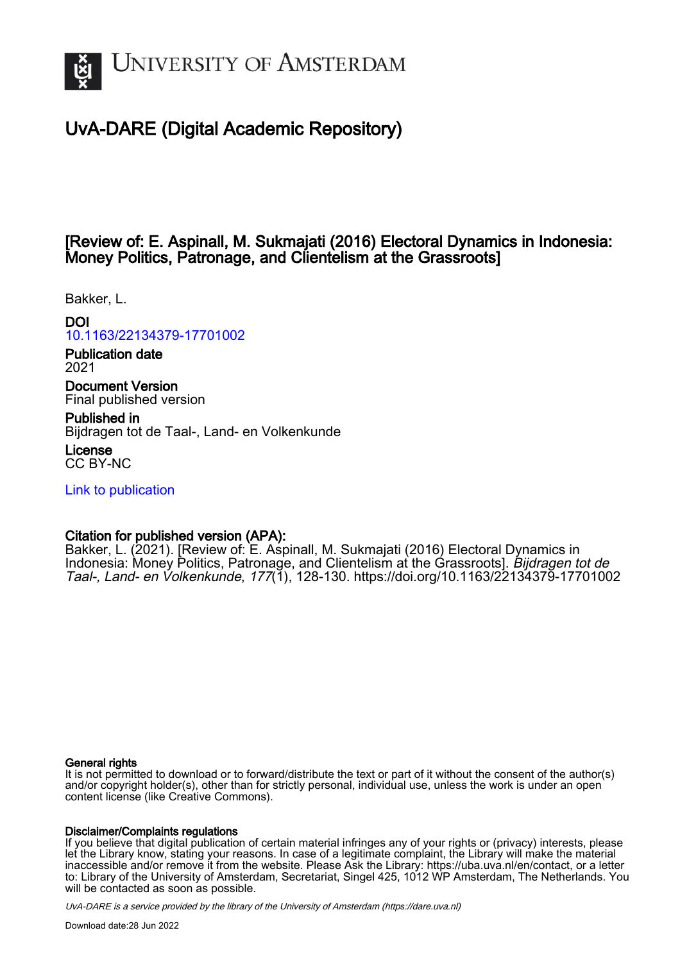

# UvA-DARE (Digital Academic Repository)

# [Review of: E. Aspinall, M. Sukmajati (2016) Electoral Dynamics in Indonesia: Money Politics, Patronage, and Clientelism at the Grassroots]

Bakker, L.

### DOI

# [10.1163/22134379-17701002](https://doi.org/10.1163/22134379-17701002)

Publication date 2021

Document Version Final published version

Published in Bijdragen tot de Taal-, Land- en Volkenkunde

License CC BY-NC

[Link to publication](https://dare.uva.nl/personal/pure/en/publications/review-of-e-aspinall-m-sukmajati-2016-electoral-dynamics-in-indonesia-money-politics-patronage-and-clientelism-at-the-grassroots(918ab786-1040-438c-9d4d-5c309370dbe3).html)

### Citation for published version (APA):

Bakker, L. (2021). [Review of: E. Aspinall, M. Sukmajati (2016) Electoral Dynamics in Indonesia: Money Politics, Patronage, and Clientelism at the Grassroots]. Bijdragen tot de Taal-, Land- en Volkenkunde, 177(1), 128-130. <https://doi.org/10.1163/22134379-17701002>

#### General rights

It is not permitted to download or to forward/distribute the text or part of it without the consent of the author(s) and/or copyright holder(s), other than for strictly personal, individual use, unless the work is under an open content license (like Creative Commons).

#### Disclaimer/Complaints regulations

If you believe that digital publication of certain material infringes any of your rights or (privacy) interests, please let the Library know, stating your reasons. In case of a legitimate complaint, the Library will make the material inaccessible and/or remove it from the website. Please Ask the Library: https://uba.uva.nl/en/contact, or a letter to: Library of the University of Amsterdam, Secretariat, Singel 425, 1012 WP Amsterdam, The Netherlands. You will be contacted as soon as possible.

UvA-DARE is a service provided by the library of the University of Amsterdam (http*s*://dare.uva.nl)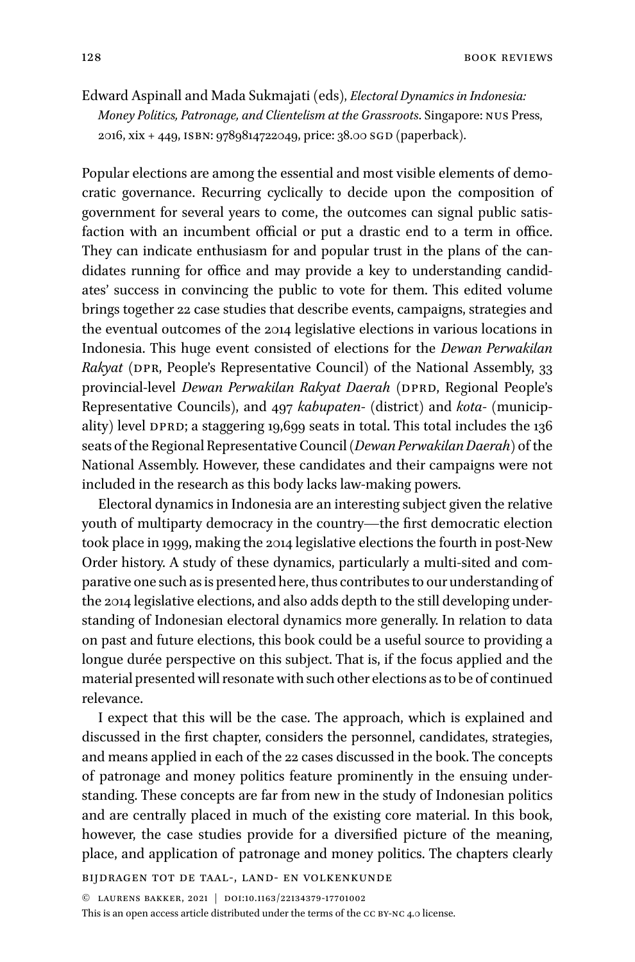128 book REVIEWS

Edward Aspinall and Mada Sukmajati (eds), *Electoral Dynamics in Indonesia: Money Politics, Patronage, and Clientelism at the Grassroots*. Singapore: nus Press, 2016, xix + 449, ISBN: 9789814722049, price: 38.00 SGD (paperback).

Popular elections are among the essential and most visible elements of democratic governance. Recurring cyclically to decide upon the composition of government for several years to come, the outcomes can signal public satisfaction with an incumbent official or put a drastic end to a term in office. They can indicate enthusiasm for and popular trust in the plans of the candidates running for office and may provide a key to understanding candidates' success in convincing the public to vote for them. This edited volume brings together 22 case studies that describe events, campaigns, strategies and the eventual outcomes of the 2014 legislative elections in various locations in Indonesia. This huge event consisted of elections for the *Dewan Perwakilan Rakyat* (DPR, People's Representative Council) of the National Assembly, 33 provincial-level *Dewan Perwakilan Rakyat Daerah* (DPRD, Regional People's Representative Councils), and 497 *kabupaten*- (district) and *kota*- (municipality) level DPRD; a staggering 19,699 seats in total. This total includes the 136 seats of the Regional Representative Council (*Dewan Perwakilan Daerah*) of the National Assembly. However, these candidates and their campaigns were not included in the research as this body lacks law-making powers.

Electoral dynamics in Indonesia are an interesting subject given the relative youth of multiparty democracy in the country—the first democratic election took place in 1999, making the 2014 legislative elections the fourth in post-New Order history. A study of these dynamics, particularly a multi-sited and comparative one such as is presented here, thus contributes to our understanding of the 2014 legislative elections, and also adds depth to the still developing understanding of Indonesian electoral dynamics more generally. In relation to data on past and future elections, this book could be a useful source to providing a longue durée perspective on this subject. That is, if the focus applied and the material presented will resonate with such other elections as to be of continued relevance.

I expect that this will be the case. The approach, which is explained and discussed in the first chapter, considers the personnel, candidates, strategies, and means applied in each of the 22 cases discussed in the book. The concepts of patronage and money politics feature prominently in the ensuing understanding. These concepts are far from new in the study of Indonesian politics and are centrally placed in much of the existing core material. In this book, however, the case studies provide for a diversified picture of the meaning, place, and application of patronage and money politics. The chapters clearly

Bijdragen tot de taal-, land- en volkenkunde

© laurens bakker, 2021 | doi:10.1163/22134379-17701002

This is an open access article distributed under the terms of the CC BY-NC [4.0 license.](https://creativecommons.org/licenses/by-nc/4.0/)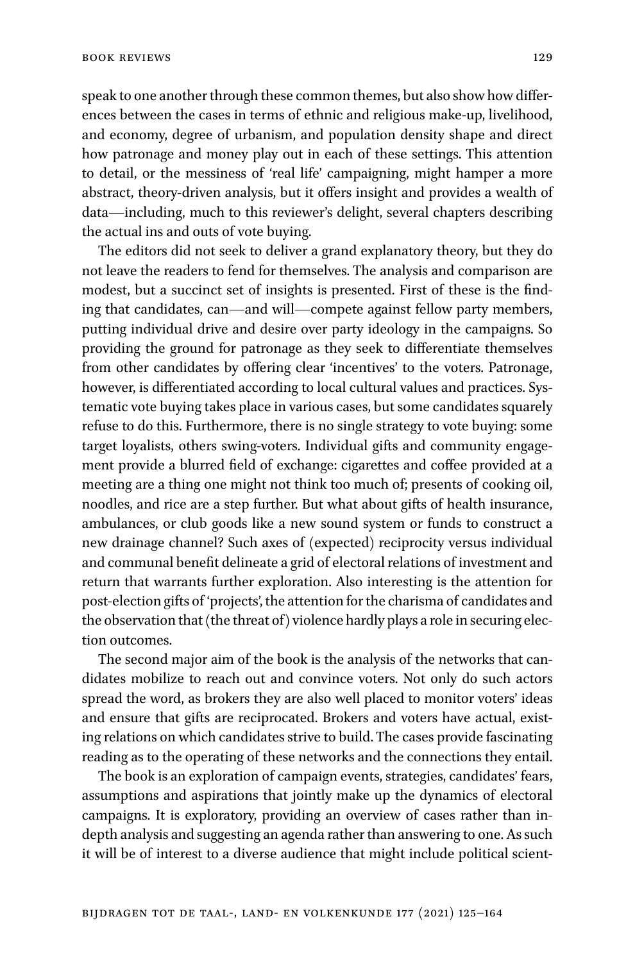speak to one another through these common themes, but also show how differences between the cases in terms of ethnic and religious make-up, livelihood, and economy, degree of urbanism, and population density shape and direct how patronage and money play out in each of these settings. This attention to detail, or the messiness of 'real life' campaigning, might hamper a more abstract, theory-driven analysis, but it offers insight and provides a wealth of data—including, much to this reviewer's delight, several chapters describing the actual ins and outs of vote buying.

The editors did not seek to deliver a grand explanatory theory, but they do not leave the readers to fend for themselves. The analysis and comparison are modest, but a succinct set of insights is presented. First of these is the finding that candidates, can—and will—compete against fellow party members, putting individual drive and desire over party ideology in the campaigns. So providing the ground for patronage as they seek to differentiate themselves from other candidates by offering clear 'incentives' to the voters. Patronage, however, is differentiated according to local cultural values and practices. Systematic vote buying takes place in various cases, but some candidates squarely refuse to do this. Furthermore, there is no single strategy to vote buying: some target loyalists, others swing-voters. Individual gifts and community engagement provide a blurred field of exchange: cigarettes and coffee provided at a meeting are a thing one might not think too much of; presents of cooking oil, noodles, and rice are a step further. But what about gifts of health insurance, ambulances, or club goods like a new sound system or funds to construct a new drainage channel? Such axes of (expected) reciprocity versus individual and communal benefit delineate a grid of electoral relations of investment and return that warrants further exploration. Also interesting is the attention for post-election gifts of 'projects', the attention for the charisma of candidates and the observation that (the threat of) violence hardly plays a role in securing election outcomes.

The second major aim of the book is the analysis of the networks that candidates mobilize to reach out and convince voters. Not only do such actors spread the word, as brokers they are also well placed to monitor voters' ideas and ensure that gifts are reciprocated. Brokers and voters have actual, existing relations on which candidates strive to build. The cases provide fascinating reading as to the operating of these networks and the connections they entail.

The book is an exploration of campaign events, strategies, candidates' fears, assumptions and aspirations that jointly make up the dynamics of electoral campaigns. It is exploratory, providing an overview of cases rather than indepth analysis and suggesting an agenda rather than answering to one. As such it will be of interest to a diverse audience that might include political scient